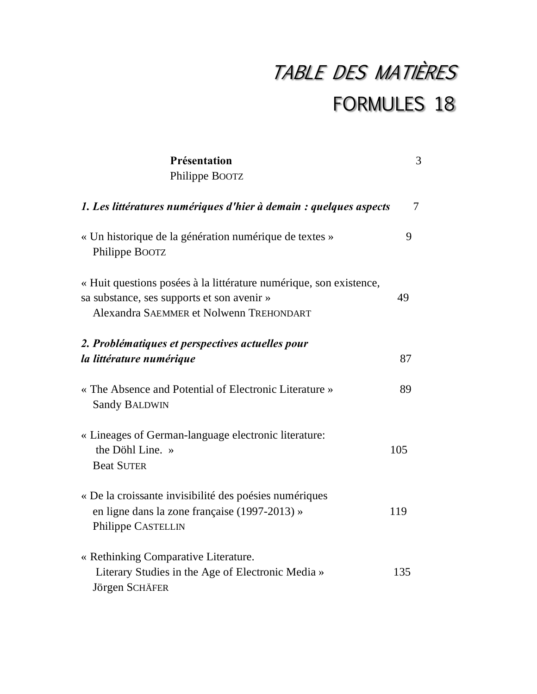## TABLE DES MATIÈRES FORMULES 18

| Présentation                                                                                                                                                | 3      |
|-------------------------------------------------------------------------------------------------------------------------------------------------------------|--------|
| Philippe BOOTZ                                                                                                                                              |        |
| 1. Les littératures numériques d'hier à demain : quelques aspects                                                                                           | $\tau$ |
| « Un historique de la génération numérique de textes »<br>Philippe BOOTZ                                                                                    | 9      |
| « Huit questions posées à la littérature numérique, son existence,<br>sa substance, ses supports et son avenir »<br>Alexandra SAEMMER et Nolwenn TREHONDART | 49     |
| 2. Problématiques et perspectives actuelles pour<br>la littérature numérique                                                                                | 87     |
| « The Absence and Potential of Electronic Literature »<br><b>Sandy BALDWIN</b>                                                                              | 89     |
| « Lineages of German-language electronic literature:<br>the Döhl Line. »<br><b>Beat SUTER</b>                                                               | 105    |
| « De la croissante invisibilité des poésies numériques<br>en ligne dans la zone française (1997-2013) »<br>Philippe CASTELLIN                               | 119    |
| « Rethinking Comparative Literature.<br>Literary Studies in the Age of Electronic Media »<br>Jörgen SCHÄFER                                                 | 135    |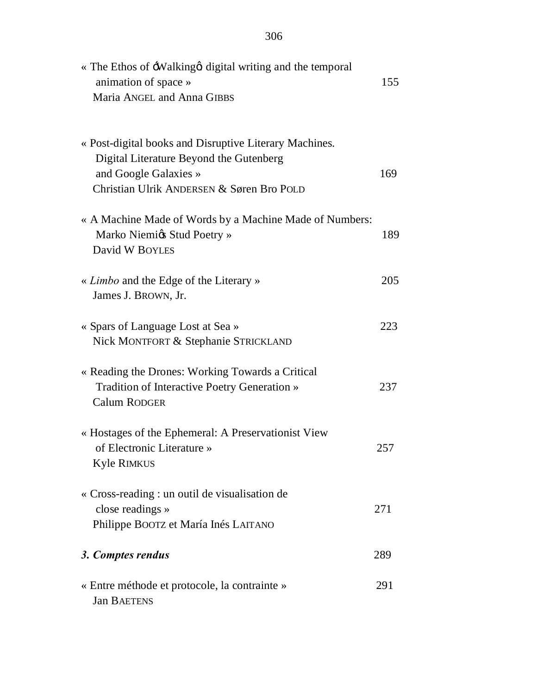| « The Ethos of -Walking adigital writing and the temporal<br>animation of space »<br>Maria ANGEL and Anna GIBBS                                                         | 155 |
|-------------------------------------------------------------------------------------------------------------------------------------------------------------------------|-----|
| « Post-digital books and Disruptive Literary Machines.<br>Digital Literature Beyond the Gutenberg<br>and Google Galaxies »<br>Christian Ulrik ANDERSEN & Søren Bro POLD | 169 |
| « A Machine Made of Words by a Machine Made of Numbers:<br>Marko Niemiøs Stud Poetry »<br>David W BOYLES                                                                | 189 |
| « <i>Limbo</i> and the Edge of the Literary »<br>James J. BROWN, Jr.                                                                                                    | 205 |
| « Spars of Language Lost at Sea »<br>Nick MONTFORT & Stephanie STRICKLAND                                                                                               | 223 |
| « Reading the Drones: Working Towards a Critical<br>Tradition of Interactive Poetry Generation »<br><b>Calum RODGER</b>                                                 | 237 |
| « Hostages of the Ephemeral: A Preservationist View<br>of Electronic Literature »<br><b>Kyle RIMKUS</b>                                                                 | 257 |
| « Cross-reading : un outil de visualisation de<br>close readings »<br>Philippe BOOTZ et María Inés LAITANO                                                              | 271 |
| 3. Comptes rendus                                                                                                                                                       | 289 |
| « Entre méthode et protocole, la contrainte »<br><b>Jan BAETENS</b>                                                                                                     | 291 |